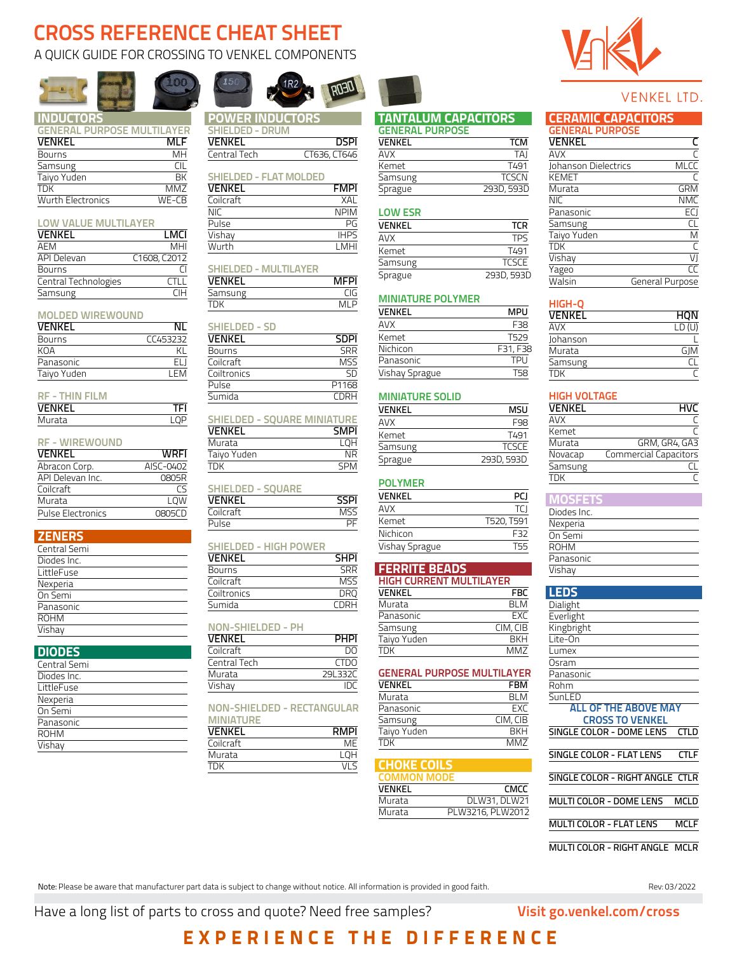# **CROSS REFERENCE CHEAT SHEET**

### A QUICK GUIDE FOR CROSSING TO VENKEL COMPONENTS





# **POWER INDUCTOR**

**[SHIELDED - DRUM](https://www.venkel.com/inductors/drum-shielded-power)** 

VENKEL DSPI Central Tech CT636, CT646

1<sub>R2</sub>

## **[INDUCTORS](https://www.venkel.com/inductors)**

| <b>GENERAL PURPOSE MULTILAYER</b> |            |
|-----------------------------------|------------|
| <b>VENKEL</b>                     | <b>MLF</b> |
| Bourns                            | MН         |
| Samsung                           | CIL        |
| Taiyo Yuden                       | <b>BK</b>  |
| <b>TDK</b>                        | MM7        |
| <b>Wurth Electronics</b>          | $WE-CB$    |

#### **[LOW VALUE MULTILAYER](https://www.venkel.com/inductors/low-value-multilayer)**

| <b>VENKEL</b>        | LMCI         |
|----------------------|--------------|
| AEM                  | MHI          |
| <b>API Delevan</b>   | C1608, C2012 |
| Bourns               |              |
| Central Technologies | <b>CTI L</b> |
| Samsung              | ΓIН          |

#### **[MOLDED WIREWOUND](https://www.venkel.com/inductors/molded-wirewound)**

| ΝI       |
|----------|
| CC453232 |
| КI       |
| FI I     |
| I FM     |
|          |

### **[RF - THIN FILM](https://www.venkel.com/inductors/thin-film)**

| .<br>.        |     |
|---------------|-----|
| <b>VENKEL</b> |     |
| Murata        | ם ח |
|               |     |

### **[RF - WIREWOUND](https://www.venkel.com/inductors/wirewound-rf)**

| VENKEL                   | <b>WRFI</b> |
|--------------------------|-------------|
| Abracon Corp.            | AISC-0402   |
| API Delevan Inc.         | 0805R       |
| Coilcraft                | rς          |
| Murata                   | LOW         |
| <b>Pulse Electronics</b> | 0805CD      |

### **ZENERS**

| Central Semi |
|--------------|
| Diodes Inc.  |
| LittleFuse   |
| Nexperia     |
| On Semi      |
| Panasonic    |
| <b>ROHM</b>  |
| Vishav       |

### **DIODES**

| Central Semi |  |
|--------------|--|
| Diodes Inc.  |  |
| LittleFuse   |  |
| Nexperia     |  |
| On Semi      |  |
| Panasonic    |  |
| <b>ROHM</b>  |  |
| Vishav       |  |
|              |  |

### **[SHIELDED - FLAT MOLDED](https://www.venkel.com/inductors/flat-molded-power)**  VENKEL FMPI Coilcraft XAL NIC NPIM<br>Pulse PG Pulse Vishay IHPS Wurth LMHI **SHIELDED - MULTILAYER VENKEL** MFPI<br>
Samsung CIG **Samsung** TDK MLP **[SHIELDED - SD](https://www.venkel.com/inductors/sd-power)  VENKEL** SDPI<br>Bourns SRR **Bourns** Coilcraft MSS <u>Coiltronics SD</u><br>Pulse P1168  $Pulse$ Sumida CDRH **[SHIELDED - SQUARE MINIATURE](https://www.venkel.com/inductors/square-miniature-power) VENKEL SMPI**<br>Murata LQH **Murata** Taiyo Yuden NR TDK SPM **[SHIELDED - SQUARE](https://www.venkel.com/inductors/square-shielded-power) VENKEL SSPI**<br>Coilcraft MSS Experience of the Coilcraft<br>
Pulse PF Pulse **[SHIELDED - HIGH POWER](https://www.venkel.com/inductors/shielded-high-power) VENKEL SHPI**<br>Bourns **SRR** Bourns SRR<br>Coilcraft MSS  $\overline{\text{Colcraff}}$ Eoiltronics DRQ<br>Sumida CDRH [S](https://www.venkel.com/inductors/ph-power)umida **[NON-SHIELDED - PH](https://www.venkel.com/inductors/ph-power)** VENKEL PHPI Coilcraft DO

| Coilcraft    |                  |
|--------------|------------------|
| Central Tech | CTD <sub>O</sub> |
| Murata       | 29L332C          |
| Vishay       |                  |
|              |                  |

#### **[NON-SHIELDED - RECTANGULAR](https://www.venkel.com/inductors/rectangular-miniature-power)  [MINIATURE](https://www.venkel.com/inductors/rectangular-miniature-power)**

| VENKEL    | <b>RMPI</b> |
|-----------|-------------|
| Coilcraft | MF          |
| Murata    | <b>LOH</b>  |
| TDK       | VI S        |
|           |             |



DEOR

#### **[TANTALUM CAPACITORS](https://www.venkel.com/tantalum-capacitors) [GENERAL PURPOSE](https://www.venkel.com/tantalum-capacitors/general-purpose)**

| UEINERAL PURPUJE |  |
|------------------|--|
| TCM              |  |
| <b>TAI</b>       |  |
| T <sub>491</sub> |  |
| <b>TCSCN</b>     |  |
| 293D, 593D       |  |
|                  |  |

### **[LOW ESR](https://www.venkel.com/tantalum-capacitors/low-esr)**

| VENKEL  | <b>TCR</b>   |
|---------|--------------|
| AVX     | <b>TPS</b>   |
| Kemet   | T491         |
| Samsung | <b>TCSCE</b> |
| Sprague | 293D, 593D   |

### **[MINIATURE POLYMER](https://www.venkel.com/tantalum-capacitors/miniature-polymer-undertab)**

| VENKEL         | MPU             |
|----------------|-----------------|
| AVX            | F <sub>38</sub> |
| Kemet          | T529            |
| Nichicon       | F31, F38        |
| Panasonic      | <b>TPII</b>     |
| Vishay Sprague | T58             |

### **[MINIATURE SOLID](https://www.venkel.com/tantalum-capacitors/miniature-solid-undertab)**

| VFNKFI  | MSU          |
|---------|--------------|
| AVX     | F98          |
| Kemet   | T491         |
| Samsung | <b>TCSCE</b> |
| Sprague | 293D, 593D   |

### **[POLYMER](https://www.venkel.com/tantalum-capacitors/polymer-j-lead)**

| VFNKFI         | PCI        |
|----------------|------------|
| AVX            | TCI        |
| Kemet          | T520, T591 |
| Nichicon       | F32        |
| Vishay Sprague | 155        |

### **FERRITE BEADS [HIGH CURRENT MULTILAYER](https://www.venkel.com/ferrite-beads/high-current-multilayer)**

| <b>VENKEL</b> | <b>FBC</b> |
|---------------|------------|
| Murata        | ri M       |
| Panasonic     | <b>EXC</b> |
| Samsung       | CIM, CIB   |
| Taiyo Yuden   | <b>RKH</b> |
| TDK           | MM7        |

#### **[GENERAL PURPOSE MULTILAYER](https://www.venkel.com/ferrite-beads/general-purpose-multilayer)**

| VENKEL      | FBM        |
|-------------|------------|
| Murata      | <b>BLM</b> |
| Panasonic   | <b>EXC</b> |
| Samsung     | CIM, CIB   |
| Taiyo Yuden | <b>RKH</b> |
| <b>TDK</b>  | MM7        |

#### **[CHOKE COILS](https://www.venkel.com/choke-coils) [COMMON MODE](https://www.venkel.com/choke-coils/common-mode)** VENKEL CMCC

| <b>VLIVINLE</b> | ーリリー             |
|-----------------|------------------|
| Murata          | DLW31, DLW21     |
| Murata          | PLW3216, PLW2012 |
|                 |                  |

### VENKEL LTD.

| <b>CERAMIC CAPACITORS</b> |  |  |  |  |
|---------------------------|--|--|--|--|
| GENERAL PURPOSE           |  |  |  |  |

| <b>VENKEL</b>        |                 |
|----------------------|-----------------|
| AVX                  |                 |
| Johanson Dielectrics | <b>MLCC</b>     |
| <b>KEMET</b>         |                 |
| Murata               | <b>GRM</b>      |
| <b>NIC</b>           | <b>NMC</b>      |
| Panasonic            | ECI             |
| Samsung              | СL              |
| Taiyo Yuden          | M               |
| ŦĎК                  |                 |
| Vishay               | VJ              |
| Yageo                | CC              |
| Walsin               | General Purpose |

#### **[HIGH-Q](https://www.venkel.com/ceramic-capacitors/high-q)**

| VENKEL   | HQN                |
|----------|--------------------|
| AVX      | $LD(\overline{U})$ |
| Johanson |                    |
| Murata   | GIM                |
| Samsung  |                    |
| TDK      |                    |

### **[HIGH VOLTAGE](https://www.venkel.com/ceramic-capacitors/high-voltage)**

| VENKEL     | HVC                          |
|------------|------------------------------|
| <b>AVX</b> |                              |
| Kemet      |                              |
| Murata     | GRM, GR4, GA3                |
| Novacap    | <b>Commercial Capacitors</b> |
| Samsung    |                              |
| <b>TDK</b> |                              |

### **MOSFETS**

| Diodes Inc. |
|-------------|
| Nexperia    |
| On Semi     |
| <b>ROHM</b> |
| Panasonic   |
| Vishav      |
|             |

### **[LEDS](https://www.venkel.com/leds)**

| Dialight                    |
|-----------------------------|
| Everlight                   |
| Kingbright                  |
| Lite-On                     |
| Lumex                       |
| Osram                       |
| Panasonic                   |
| Rohm                        |
| SunLED                      |
| <b>ALL OF THE AROVE MAY</b> |
| <b>CROSS TO VENKEL</b>      |
| SINGLE COLOR - DOME LENS    |
|                             |

SINGLE COLOR - FLAT LENS CTLF

SINGLE COLOR - RIGHT ANGLE CTLR

MULTI COLOR - DOME LENS MCLD

MULTI COLOR - FLAT LENS MCLF

MULTI COLOR - RIGHT ANGLE MCLR

Note: Please be aware that manufacturer part data is subject to change without notice. All information is provided in good faith. Rev: 03/2022 PRev: 03/2022

Have a long list of parts to cross and quote? Need free samples? **Visit [go.venkel.com/cross](https://go.venkel.com/cross)**

# **EXPERIENCE THE DIFFERENCE**